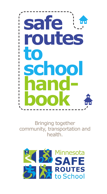

Bringing together community, transportation and health.

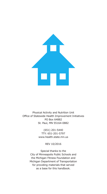

Physical Activity and Nutrition Unit Office of Statewide Health Improvement Initiatives PO Box 64882 St. Paul, MN 55164-0882

> (651) 201-5440 TTY: 651-201-5797 www.health.state.mn.us

> > REV 10/2016

Special thanks to the City of Minneapolis Public Schools and the Michigan Fitness Foundation and Michigan Department of Transportation for providing materials that served as a base for this handbook.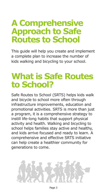### **A Comprehensive Approach to Safe Routes to School**

This guide will help you create and implement a complete plan to increase the number of kids walking and bicycling to your school.

### **What is Safe Routes to School?**

Safe Routes to School (SRTS) helps kids walk and bicycle to school more often through infrastructure improvements, education and promotional activities. SRTS is more than just a program, it is a comprehensive strategy to instill life-long habits that support physical activity and health. Walking and bicycling to school helps families stay active and healthy, and kids arrive focused and ready to learn. A comprehensive and effective SRTS initiative can help create a healthier community for generations to come.

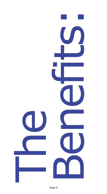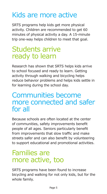### Kids are more active

SRTS programs help kids get more physical activity. Children are recommended to get 60 minutes of physical activity a day. A 15-minute trip one-way helps children to meet that goal.

### Students arrive ready to learn

Research has shown that SRTS helps kids arrive to school focused and ready to learn. Getting activity through walking and bicycling helps reduce behavior problems and helps kids settle in for learning during the school day.

### Communities become more connected and safer for all

Because schools are often located at the center of communities, safety improvements benefit people of all ages. Seniors particularly benefit from improvements that slow traffic and make streets safer and can also benefit by volunteering to support educational and promotional activities.

### Families are more active, too

SRTS programs have been found to increase bicycling and walking for not only kids, but for the whole family.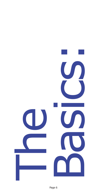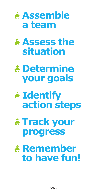

# **• Assess the situation**

## **• Determine your goals**

## **• Identify action steps**

# **• Track your progress**

### **• Remember to have fun!**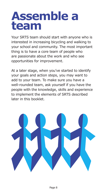# **Assemble a team**

Your SRTS team should start with anyone who is interested in increasing bicycling and walking to your school and community. The most important thing is to have a core team of people who are passionate about the work and who see opportunities for improvement.

At a later stage, when you've started to identify your goals and action steps, you may want to add to your team. To make sure you have a well-rounded team, ask yourself if you have the people with the knowledge, skills and experience to implement the elements of SRTS described later in this booklet.

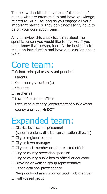The below checklist is a sample of the kinds of people who are interested in and have knowledge related to SRTS. As long as you engage all your important partners, they don't necessarily have to be on your core action team.

As you review this checklist, think about the specific person you would like to involve. If you don't know that person, identify the best path to make an introduction and have a discussion about SRTS.

### Core team:

- $\Box$  School principal or assistant principal
- $\Box$  Parents
- $\Box$  Community volunteer(s)
- $\Box$  Students
- $\Box$  Teacher(s)
- $\Box$  Law enforcement officer
- $\Box$  Local road authority (department of public works, county engineer, MnDOT)

### Expanded team:

□ District-level school personnel

(superintendent, district transportation director)

- $\Box$  City or regional planner
- $\Box$  City or town manager
- $\Box$  City council member or other elected official
- $\Box$  City or county recreation specialist
- $\Box$  City or county public health official or educator
- $\Box$  Bicycling or walking group representative
- $\Box$  Other local non-profit agency
- $\Box$  Neighborhood association or block club member
- $\Box$  Faith-based group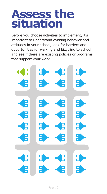# **Assess the situation**

Before you choose activities to implement, it's important to understand existing behavior and attitudes in your school, look for barriers and opportunities for walking and bicycling to school, and see if there are existing policies or programs that support your work.

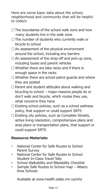Here are some basic data about the school, neighborhood and community that will be helpful to collect:

- $\Box$  The boundaries of the school walk zone and how many students live in the walk zone
- $\Box$  The number of students who currently walk or bicycle to school
- $\Box$  An assessment of the physical environment around the school, including any barriers
- $\Box$  An assessment of the drop-off and pick-up zone, including buses and parent vehicles
- $\Box$  Whether there are bike racks and if there is enough space in the racks
- $\Box$  Whether there are school patrol guards and where they are posted
- $\Box$  Parent and student attitudes about walking and bicycling to school – major reasons people do or don't walk and bicycle, which routes they use, what concerns they have
- $\Box$  Existing school policies, such as a school wellness policy, that support or could support SRTS
- $\Box$  Existing city policies, such as Complete Streets, active living resolution, comprehensive plans and area plans or transportation plans, that support or could support SRTS

#### **Resource Materials:**

- National Center for Safe Routes to School Parent Survey
- National Center for Safe Routes to School Student In-Class Travel Tally
- School Walkability and Bikeability Checklist
- Sample Safe Routes to School map Albany Area Schools

Available at www.health.state.mn.us/srts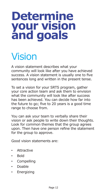# **Determine your vision and goals**

# Vision

A vision statement describes what your community will look like after you have achieved success. A vision statement is usually one to five sentences long and written in the present tense.

To set a vision for your SRTS program, gather your core action team and ask them to envision what the community will look like after success has been achieved. You can decide how far into the future to go; five to 20 years is a good time range to choose from.

You can ask your team to verbally share their vision or ask people to write down their thoughts. Look for common themes that the group agrees upon. Then have one person refine the statement for the group to approve.

Good vision statements are:

- **Attractive**
- Bold
- Compelling
- Doable
- Energizing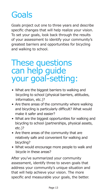### Goals

Goals project out one to three years and describe specific changes that will help realize your vision. To set your goals, look back through the results of your assessment to identify your community's greatest barriers and opportunities for bicycling and walking to school.

### These questions can help guide your goal-setting:

- What are the biggest barriers to walking and bicycling to school (physical barriers, attitudes, information, etc.)?
- Are there areas of the community where walking and bicycling is particularly difficult? What would make it safer and easier?
- What are the biggest opportunities for walking and bicycling to school (partnerships, physical assets, etc.)?
- Are there areas of the community that are relatively safe and convenient for walking and bicycling?
- What would encourage more people to walk and bicycle in these areas?

After you've summarized your community assessment, identify three to seven goals that address your community's unique situation and that will help achieve your vision. The more specific and measurable your goals, the better.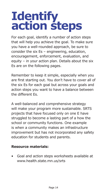# **Identify action steps**

For each goal, identify a number of action steps that will help you achieve the goal. To make sure you have a well-rounded approach, be sure to consider the six Es – engineering, education, encouragement, enforcement, evaluation, and equity – in your action plan. Details about the six Es are on the following pages.

Remember to keep it simple, especially when you are first starting out. You don't have to cover all of the six Es for each goal but across your goals and action steps you want to have a balance between the different Es.

A well-balanced and comprehensive strategy will make your program more sustainable. SRTS projects that have focused only on one E have struggled to become a lasting part of a how the school or community functions. One example is when a community makes an infrastructure improvement but has not incorporated any safety education for students and parents.

#### **Resource materials:**

• Goal and action steps worksheets available at www.health.state.mn.us/srts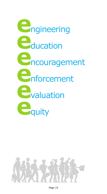

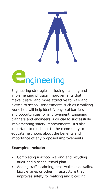*<u><b>ngineering</u>* 

Engineering strategies including planning and implementing physical improvements that make it safer and more attractive to walk and bicycle to school. Assessments such as a walking workshop will help identify physical barriers and opportunities for improvement. Engaging planners and engineers is crucial to successfully implementing safety improvements. It's also important to reach out to the community to educate neighbors about the benefits and importance of any proposed improvements.

- Completing a school walking and bicycling audit and a school travel plan
- Adding traffic calming, crosswalks, sidewalks, bicycle lanes or other infrastructure that improves safety for walking and bicycling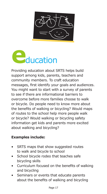



Providing education about SRTS helps build support among kids, parents, teachers and community members. To craft education messages, first identify your goals and audiences. You might want to start with a survey of parents to see if there are informational barriers to overcome before more families choose to walk or bicycle. Do people need to know more about the benefits of walking or bicycling? Would maps of routes to the school help more people walk or bicycle? Would walking or bicycling safety information get kids and parents more excited about walking and bicycling?

- SRTS maps that show suggested routes to walk and bicycle to school
- School bicycle rodeo that teaches safe bicycling skills
- Curriculum focused on the benefits of walking and bicycling
- Seminars or events that educate parents about the benefits of walking and bicycling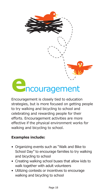

### **e**ncouragement

Encouragement is closely tied to education strategies, but is more focused on getting people to try walking and bicycling to school and celebrating and rewarding people for their efforts. Encouragement activities are more effective if the physical environment works for walking and bicycling to school.

- Organizing events such as "Walk and Bike to School Day" to encourage families to try walking and bicycling to school
- Creating walking school buses that allow kids to walk together with adult volunteers
- Utilizing contests or incentives to encourage walking and bicycling to school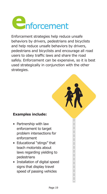

Enforcement strategies help reduce unsafe behaviors by drivers, pedestrians and bicyclists and help reduce unsafe behaviors by drivers, pedestrians and bicyclists and encourage all road users to obey traffic laws and share the road safely. Enforcement can be expensive, so it is best used strategically in conjunction with the other strategies.

- Partnership with law enforcement to target problem intersections for enforcement
- Educational "stings" that teach motorists about laws regarding yielding to pedestrians
- Installation of digital speed signs that display travel speed of passing vehicles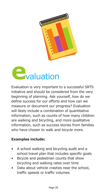



Evaluation is very important to a successful SRTS initiative and should be considered from the very beginning of planning. Ask yourself, how do we define success for our efforts and how can we measure or document our progress? Evaluation will likely include a combination of quantitative information, such as counts of how many children are walking and bicycling, and more qualitative information, such as success stories from families who have chosen to walk and bicycle more.

- A school walking and bicycling audit and a school travel plan that includes specific goals
- Bicycle and pedestrian counts that show bicycling and walking rates over time
- Data about vehicle crashes near the school, traffic speeds or traffic volumes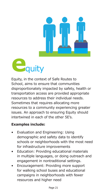



Equity, in the context of Safe Routes to School, aims to ensure that communities disproportionately impacted by safety, health or transportation access are provided appropriate resources to address their individual needs. Sometimes that requires allocating more resources to a community experiencing greater issues. An approach to ensuring Equity should intertwined in each of the other 5E's.

- Evaluation and Engineering: Using demographic and safety data to identify schools or neighborhoods with the most need for infrastructure improvements
- Education: Providing educational materials in multiple languages, or doing outreach and engagement in nontraditional settings.
- Encouragement: Providing more support for walking school buses and educational campaigns in neighborhoods with fewer resources and higher need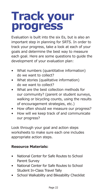# **Track your progress**

Evaluation is built into the six Es, but is also an important step in planning for SRTS. In order to track your progress, take a look at each of your goals and determine the best way to measure each goal. Here are some questions to guide the development of your evaluation plan:

- What numbers (quantitative information) do we want to collect?
- What stories (qualitative information) do we want to collect?
- What are the best collection methods for our community? (parent or student surveys, walking or bicycling counts, using the results of encouragement strategies, etc.)
- How often should we measure our progress?
- How will we keep track of and communicate our progress?

Look through your goal and action steps worksheets to make sure each one includes appropriate action steps.

#### **Resource Materials:**

- National Center for Safe Routes to School Parent Survey
- National Center for Safe Routes to School Student In-Class Travel Tally
- School Walkability and Bikeability Checklist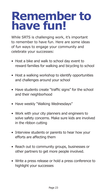# **Remember to have fun!**

While SRTS is challenging work, it's important to remember to have fun. Here are some ideas of fun ways to engage your community and celebrate your successes:

- Host a bike and walk to school day event to reward families for walking and bicycling to school
- Host a walking workshop to identify opportunities and challenges around your school
- Have students create "traffic signs" for the school and their neighborhood
- Have weekly "Walking Wednesdays"
- Work with your city planners and engineers to solve safety concerns. Make sure kids are involved in the ribbon cutting
- Interview students or parents to hear how your efforts are affecting them
- Reach out to community groups, businesses or other partners to get more people involved.
- Write a press release or hold a press conference to highlight your successes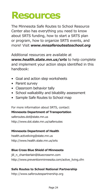### **Resources**

The Minnesota Safe Routes to School Resource Center also has everything you need to know about SRTS funding, how to start a SRTS plan or program, how to organize SRTS events, and more! Visit *www.mnsaferoutestoschool.org*

Additional resources are available at *www.health.state.mn.us/srts* to help complete and implement your action steps identified in this handbook:

- Goal and action step worksheets
- Parent survey
- Classroom behavior tally
- School walkability and bikability assessment
- Sample Safe Routes to School map

For more information about SRTS, contact:

#### **Minnesota Department of Transportation**

saferoutes.dot@state.mn.us http://www.dot.state.mn.us/saferoutes

#### **Minnesota Department of Health**

health.activeliving@state.mn.us http://www.health.state.mn.us/srts

#### **Blue Cross Blue Shield of Minnesota**

jill\_n\_chamberlain@bluecrossmn.com http://www.preventionminnesota.com/active\_living.cfm

#### **Safe Routes to School National Partnership**

http://www.saferoutespartnership.org